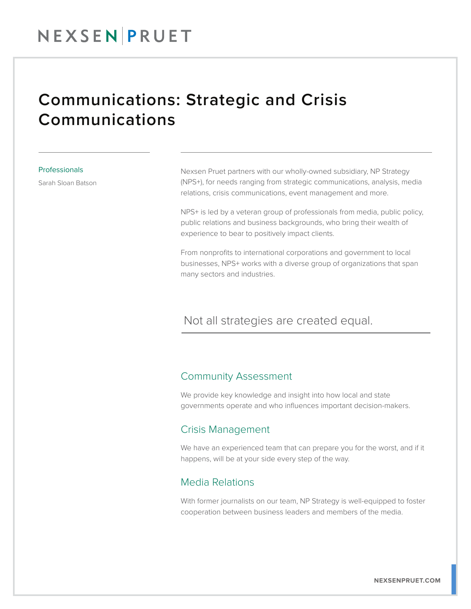## Communications: Strategic and Crisis Communications

#### Professionals

Sarah Sloan Batson

Nexsen Pruet partners with our wholly-owned subsidiary, NP Strategy (NPS+), for needs ranging from strategic communications, analysis, media relations, crisis communications, event management and more.

NPS+ is led by a veteran group of professionals from media, public policy, public relations and business backgrounds, who bring their wealth of experience to bear to positively impact clients.

From nonprofits to international corporations and government to local businesses, NPS+ works with a diverse group of organizations that span many sectors and industries.

#### Not all strategies are created equal.  $\overline{a}$

#### Community Assessment

We provide key knowledge and insight into how local and state governments operate and who influences important decision-makers.

#### Crisis Management

We have an experienced team that can prepare you for the worst, and if it happens, will be at your side every step of the way.

#### Media Relations

With former journalists on our team, NP Strategy is well-equipped to foster cooperation between business leaders and members of the media.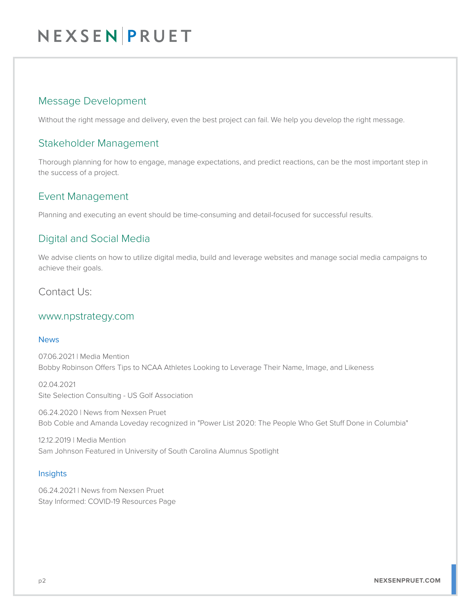## NEXSEN PRUET

## Message Development

Without the right message and delivery, even the best project can fail. We help you develop the right message.

### Stakeholder Management

Thorough planning for how to engage, manage expectations, and predict reactions, can be the most important step in the success of a project.

## Event Management

Planning and executing an event should be time-consuming and detail-focused for successful results.

## Digital and Social Media

We advise clients on how to utilize digital media, build and leverage websites and manage social media campaigns to achieve their goals.

Contact Us:

#### www.npstrategy.com

#### News

07.06.2021 | Media Mention Bobby Robinson Offers Tips to NCAA Athletes Looking to Leverage Their Name, Image, and Likeness

02.04.2021 Site Selection Consulting - US Golf Association

06.24.2020 | News from Nexsen Pruet Bob Coble and Amanda Loveday recognized in "Power List 2020: The People Who Get Stuff Done in Columbia"

12.12.2019 | Media Mention Sam Johnson Featured in University of South Carolina Alumnus Spotlight

#### **Insights**

06.24.2021 | News from Nexsen Pruet Stay Informed: COVID-19 Resources Page